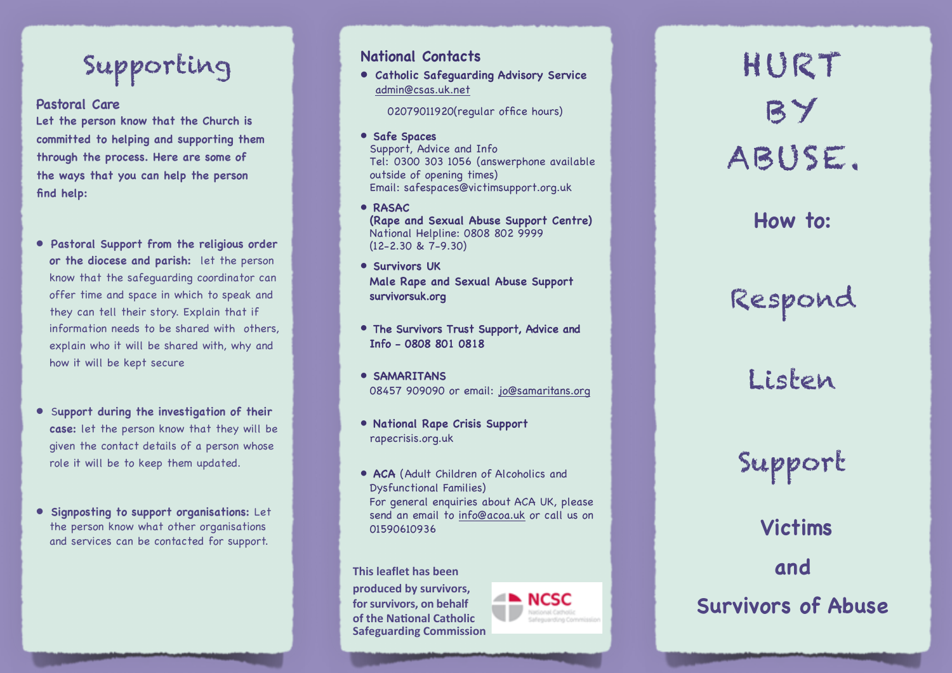# Supporting

### **Pasto ra l Care**

**Let the person know that the Church is committed to helping and supporting them through the process. Here are some of the ways that you can help the person find help:**

- **• Pastoral Support from the religious order or the diocese and parish:** let the person know that the safeguarding coordinator can offer time and space in which to speak and they can tell their story . Explain that if information needs to be shared with others, explain who it will be shared with, why and how it will be kept secure
- **•** S**upport during the investigation of their case:** let the person know that they will be given the contact details of a person whose role it will be to keep them updated.
- **• Signposting to support organisations:** Let the person know what other organisations and services can be contacted for suppor t.

### **N ational Con tacts**

**• Catholic Safeguarding Advisory Service** admin@csas.uk.net

02079011920(regular office hours)

• Safe Spaces

Supp o rt, A dvice and Info Tel: 0 3 0 0 30 3 1 0 56 (an s werphone availa ble out s i de of openin g t i mes) E m a il: s afe s p aces@victimsupport.org.uk

- **RASAC (Rape a n d Sexua l Abuse Suppor t Ce ntr e )** National Helpline: 0808 802 9999 (12-2.30 & 7-9.30)
- **Survivors UK Male Rape and Sexual Abu s e Support** survivorsuk.org
- The Survivors Trust Support, Advice and Info - 0808 801 0818
- **SAMARITANS** 08457 909090 or email: <u>jo@samaritans.org</u>
- **National Rape Crisis Support** rapecrisis.org.uk
- **ACA** (Adult Children of Alcoholics and Dysfunctional Families) For general enquiries about ACA UK, please send an email to <u>info@acoa.uk</u> or call us on 0159 0 6109 3 6

**This leaflet has been** 

produced by survivors, for survivors, on behalf **of the National Catholic Safeguarding Commission**



HURT BY ABUSE.

**How to:**

Respond

Listen

Support

**Victims and Survivors of Abuse**